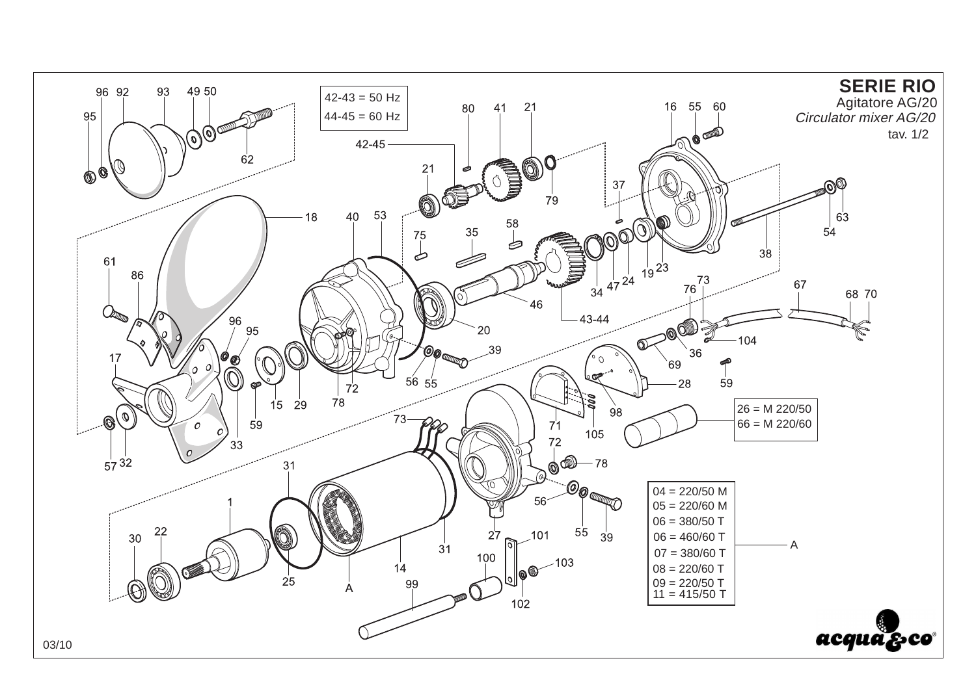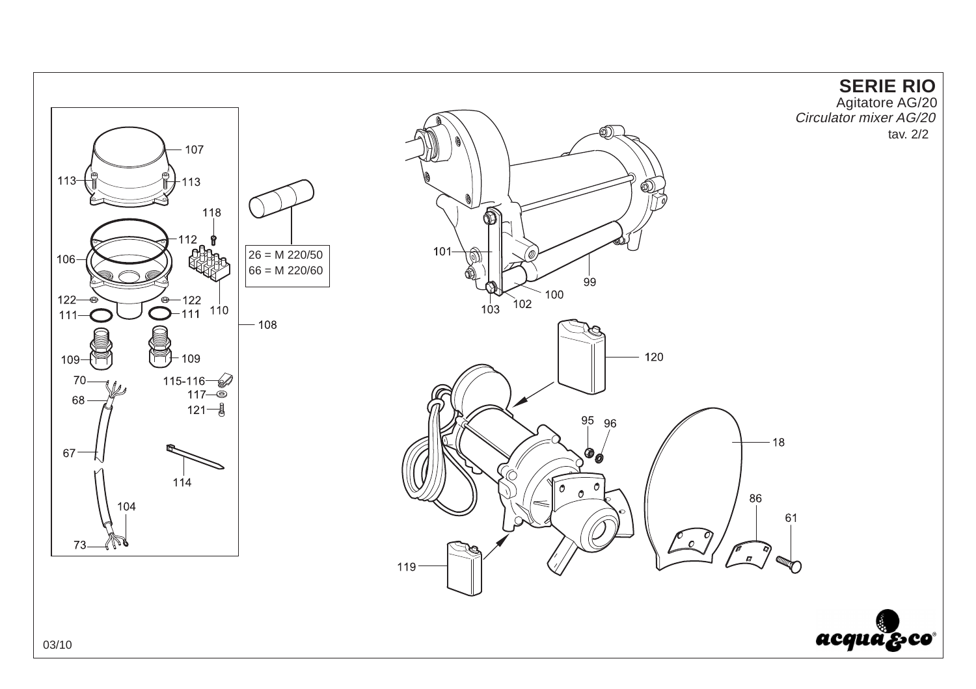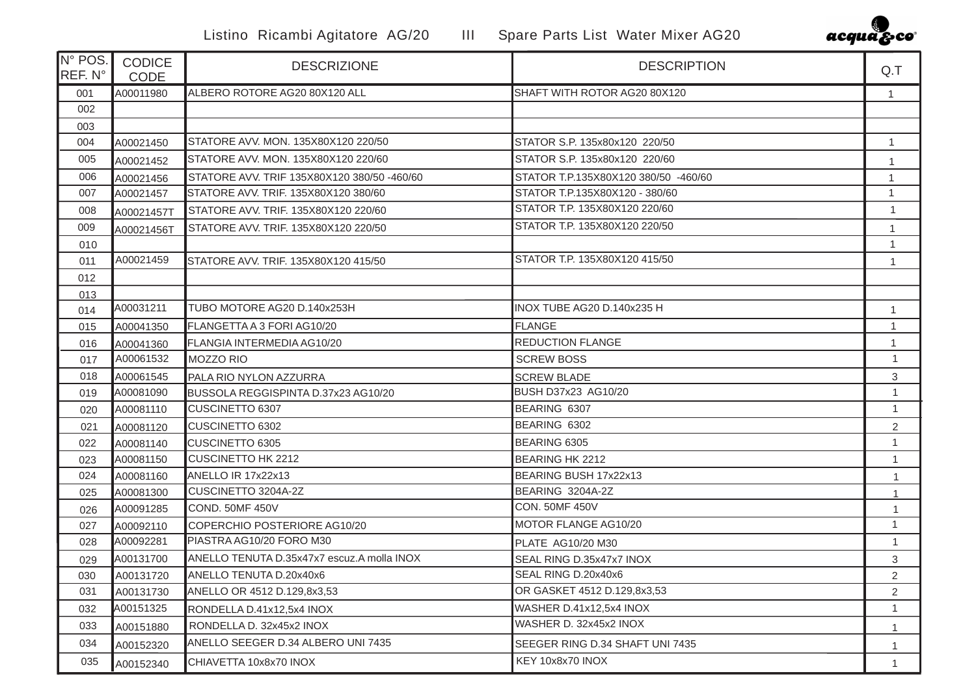

| N° POS.<br>REF. N° | <b>CODICE</b><br><b>CODE</b> | <b>DESCRIZIONE</b>                          | <b>DESCRIPTION</b>                   | Q.T            |
|--------------------|------------------------------|---------------------------------------------|--------------------------------------|----------------|
| 001                | A00011980                    | ALBERO ROTORE AG20 80X120 ALL               | SHAFT WITH ROTOR AG20 80X120         | $\mathbf{1}$   |
| 002                |                              |                                             |                                      |                |
| 003                |                              |                                             |                                      |                |
| 004                | A00021450                    | STATORE AVV, MON, 135X80X120 220/50         | STATOR S.P. 135x80x120 220/50        | $\mathbf{1}$   |
| 005                | A00021452                    | STATORE AVV. MON. 135X80X120 220/60         | STATOR S.P. 135x80x120 220/60        | 1              |
| 006                | A00021456                    | STATORE AVV. TRIF 135X80X120 380/50 -460/60 | STATOR T.P.135X80X120 380/50 -460/60 | -1             |
| 007                | A00021457                    | STATORE AVV. TRIF. 135X80X120 380/60        | STATOR T.P.135X80X120 - 380/60       | $\mathbf{1}$   |
| 008                | A00021457T                   | STATORE AVV. TRIF. 135X80X120 220/60        | STATOR T.P. 135X80X120 220/60        | $\mathbf{1}$   |
| 009                | A00021456T                   | STATORE AVV. TRIF. 135X80X120 220/50        | STATOR T.P. 135X80X120 220/50        | $\mathbf{1}$   |
| 010                |                              |                                             |                                      | $\mathbf{1}$   |
| 011                | A00021459                    | STATORE AVV. TRIF. 135X80X120 415/50        | STATOR T.P. 135X80X120 415/50        | $\mathbf{1}$   |
| 012                |                              |                                             |                                      |                |
| 013                |                              |                                             |                                      |                |
| 014                | A00031211                    | TUBO MOTORE AG20 D.140x253H                 | INOX TUBE AG20 D.140x235 H           | $\mathbf{1}$   |
| 015                | A00041350                    | FLANGETTA A 3 FORI AG10/20                  | <b>FLANGE</b>                        | $\mathbf{1}$   |
| 016                | A00041360                    | FLANGIA INTERMEDIA AG10/20                  | <b>REDUCTION FLANGE</b>              | 1              |
| 017                | A00061532                    | <b>MOZZO RIO</b>                            | <b>SCREW BOSS</b>                    | $\mathbf{1}$   |
| 018                | A00061545                    | PALA RIO NYLON AZZURRA                      | <b>SCREW BLADE</b>                   | $\sqrt{3}$     |
| 019                | A00081090                    | BUSSOLA REGGISPINTA D.37x23 AG10/20         | BUSH D37x23 AG10/20                  | $\mathbf{1}$   |
| 020                | A00081110                    | CUSCINETTO 6307                             | BEARING 6307                         | $\mathbf{1}$   |
| 021                | A00081120                    | <b>CUSCINETTO 6302</b>                      | BEARING 6302                         | $\overline{2}$ |
| 022                | A00081140                    | CUSCINETTO 6305                             | BEARING 6305                         | $\mathbf{1}$   |
| 023                | A00081150                    | <b>CUSCINETTO HK 2212</b>                   | <b>BEARING HK 2212</b>               | $\mathbf{1}$   |
| 024                | A00081160                    | ANELLO IR 17x22x13                          | BEARING BUSH 17x22x13                | 1              |
| 025                | A00081300                    | CUSCINETTO 3204A-2Z                         | BEARING 3204A-2Z                     | $\mathbf{1}$   |
| 026                | A00091285                    | COND. 50MF 450V                             | <b>CON. 50MF 450V</b>                | $\mathbf{1}$   |
| 027                | A00092110                    | COPERCHIO POSTERIORE AG10/20                | MOTOR FLANGE AG10/20                 | $\mathbf{1}$   |
| 028                | A00092281                    | PIASTRA AG10/20 FORO M30                    | PLATE AG10/20 M30                    | $\mathbf{1}$   |
| 029                | A00131700                    | ANELLO TENUTA D.35x47x7 escuz.A molla INOX  | SEAL RING D.35x47x7 INOX             | 3              |
| 030                | A00131720                    | ANELLO TENUTA D.20x40x6                     | SEAL RING D.20x40x6                  | $\overline{2}$ |
| 031                | A00131730                    | ANELLO OR 4512 D.129,8x3,53                 | OR GASKET 4512 D.129,8x3,53          | $\overline{2}$ |
| 032                | A00151325                    | RONDELLA D.41x12,5x4 INOX                   | WASHER D.41x12,5x4 INOX              | $\mathbf{1}$   |
| 033                | A00151880                    | RONDELLA D. 32x45x2 INOX                    | WASHER D. 32x45x2 INOX               | $\mathbf{1}$   |
| 034                | A00152320                    | ANELLO SEEGER D.34 ALBERO UNI 7435          | SEEGER RING D.34 SHAFT UNI 7435      | $\mathbf{1}$   |
| 035                | A00152340                    | CHIAVETTA 10x8x70 INOX                      | KEY 10x8x70 INOX                     |                |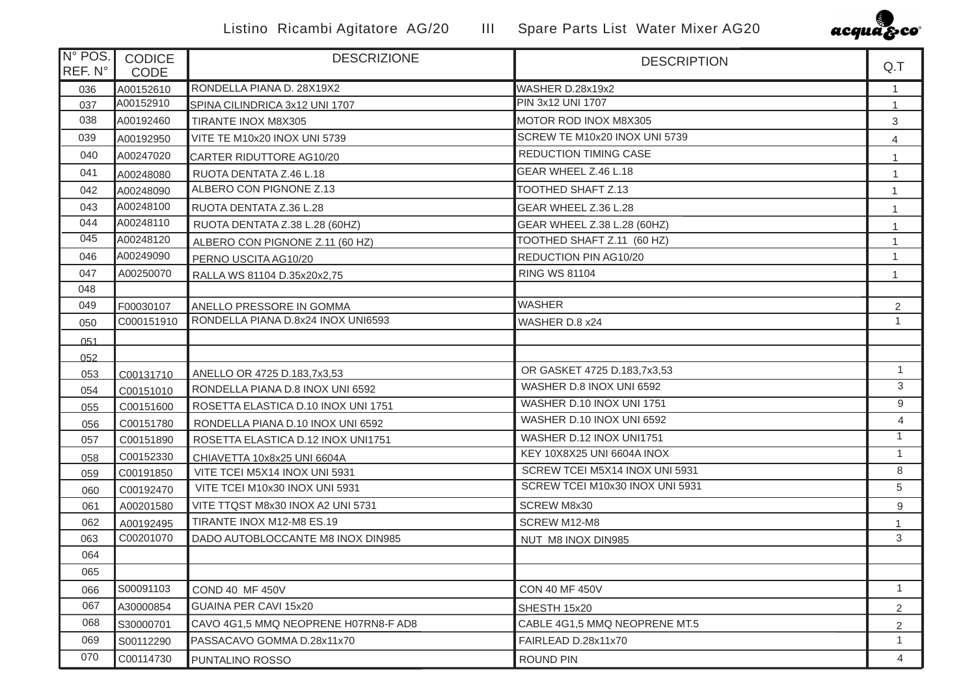

| N° POS.<br>REF. N° | <b>CODICE</b><br><b>CODE</b> | <b>DESCRIZIONE</b>                   | <b>DESCRIPTION</b>              | Q.T              |
|--------------------|------------------------------|--------------------------------------|---------------------------------|------------------|
| 036                | A00152610                    | RONDELLA PIANA D. 28X19X2            | WASHER D.28x19x2                | $\mathbf{1}$     |
| 037                | A00152910                    | SPINA CILINDRICA 3x12 UNI 1707       | PIN 3x12 UNI 1707               | 1                |
| 038                | A00192460                    | TIRANTE INOX M8X305                  | MOTOR ROD INOX M8X305           | 3                |
| 039                | A00192950                    | VITE TE M10x20 INOX UNI 5739         | SCREW TE M10x20 INOX UNI 5739   | 4                |
| 040                | A00247020                    | CARTER RIDUTTORE AG10/20             | REDUCTION TIMING CASE           | 1                |
| 041                | A00248080                    | RUOTA DENTATA Z.46 L.18              | GEAR WHEEL Z.46 L.18            | $\mathbf{1}$     |
| 042                | A00248090                    | ALBERO CON PIGNONE Z.13              | TOOTHED SHAFT Z.13              | $\mathbf{1}$     |
| 043                | A00248100                    | RUOTA DENTATA Z.36 L.28              | GEAR WHEEL Z.36 L.28            | 1                |
| 044                | A00248110                    | RUOTA DENTATA Z.38 L.28 (60HZ)       | GEAR WHEEL Z.38 L.28 (60HZ)     | 1                |
| 045                | A00248120                    | ALBERO CON PIGNONE Z.11 (60 HZ)      | TOOTHED SHAFT Z.11 (60 HZ)      | $\overline{1}$   |
| 046                | A00249090                    | PERNO USCITA AG10/20                 | REDUCTION PIN AG10/20           | $\mathbf{1}$     |
| 047                | A00250070                    | RALLA WS 81104 D.35x20x2,75          | <b>RING WS 81104</b>            | $\overline{1}$   |
| 048                |                              |                                      |                                 |                  |
| 049                | F00030107                    | ANELLO PRESSORE IN GOMMA             | <b>WASHER</b>                   | $\overline{2}$   |
| 050                | C000151910                   | RONDELLA PIANA D.8x24 INOX UNI6593   | WASHER D.8 x24                  | $\mathbf{1}$     |
| 051                |                              |                                      |                                 |                  |
| 052                |                              |                                      |                                 |                  |
| 053                | C00131710                    | ANELLO OR 4725 D.183,7x3,53          | OR GASKET 4725 D.183,7x3,53     | $\mathbf{1}$     |
| 054                | C00151010                    | RONDELLA PIANA D.8 INOX UNI 6592     | WASHER D.8 INOX UNI 6592        | 3                |
| 055                | C00151600                    | ROSETTA ELASTICA D.10 INOX UNI 1751  | WASHER D.10 INOX UNI 1751       | 9                |
| 056                | C00151780                    | RONDELLA PIANA D.10 INOX UNI 6592    | WASHER D.10 INOX UNI 6592       | $\overline{4}$   |
| 057                | C00151890                    | ROSETTA ELASTICA D.12 INOX UNI1751   | WASHER D.12 INOX UNI1751        | $\mathbf{1}$     |
| 058                | C00152330                    | CHIAVETTA 10x8x25 UNI 6604A          | KEY 10X8X25 UNI 6604A INOX      | $\mathbf{1}$     |
| 059                | C00191850                    | VITE TCEI M5X14 INOX UNI 5931        | SCREW TCEI M5X14 INOX UNI 5931  | 8                |
| 060                | C00192470                    | VITE TCEI M10x30 INOX UNI 5931       | SCREW TCEI M10x30 INOX UNI 5931 | 5                |
| 061                | A00201580                    | VITE TTQST M8x30 INOX A2 UNI 5731    | SCREW M8x30                     | $\boldsymbol{9}$ |
| 062                | A00192495                    | TIRANTE INOX M12-M8 ES.19            | SCREW M12-M8                    | $\mathbf{1}$     |
| 063                | C00201070                    | DADO AUTOBLOCCANTE M8 INOX DIN985    | NUT M8 INOX DIN985              | 3                |
| 064                |                              |                                      |                                 |                  |
| 065                |                              |                                      |                                 |                  |
| 066                | S00091103                    | <b>COND 40 MF 450V</b>               | <b>CON 40 MF 450V</b>           | $\mathbf{1}$     |
| 067                | A30000854                    | GUAINA PER CAVI 15x20                | SHESTH 15x20                    | $\overline{c}$   |
| 068                | S30000701                    | CAVO 4G1,5 MMQ NEOPRENE H07RN8-F AD8 | CABLE 4G1,5 MMQ NEOPRENE MT.5   | $\overline{2}$   |
| 069                | S00112290                    | PASSACAVO GOMMA D.28x11x70           | FAIRLEAD D.28x11x70             | $\mathbf{1}$     |
| 070                | C00114730                    | PUNTALINO ROSSO                      | ROUND PIN                       | $\overline{4}$   |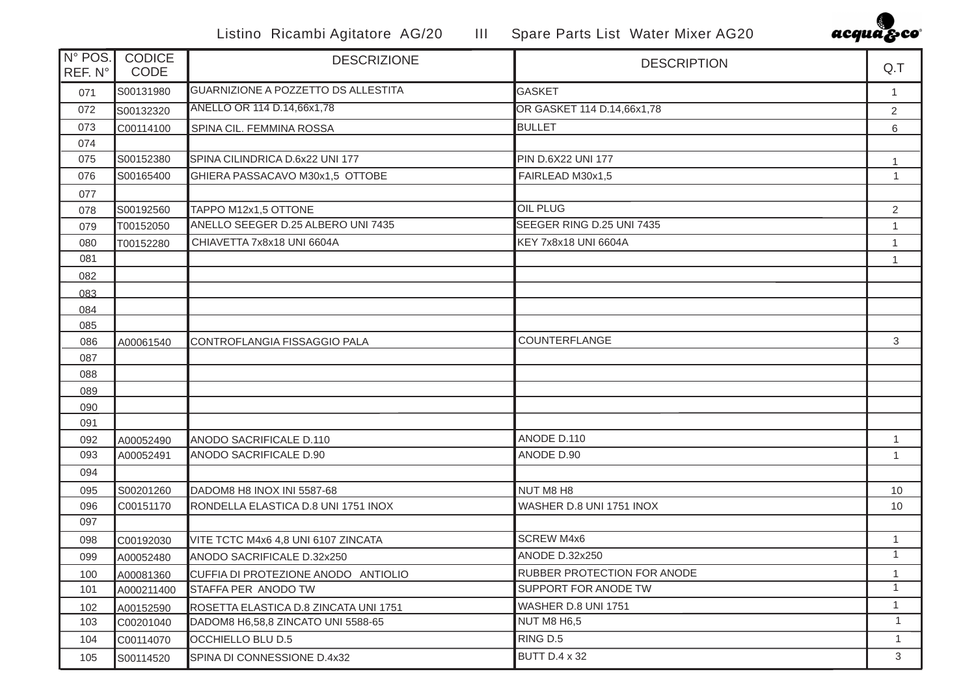

| N° POS.<br>REF. N° | <b>CODICE</b><br>CODE | <b>DESCRIZIONE</b>                    | <b>DESCRIPTION</b>                 | Q.T            |
|--------------------|-----------------------|---------------------------------------|------------------------------------|----------------|
| 071                | S00131980             | GUARNIZIONE A POZZETTO DS ALLESTITA   | GASKET                             | $\mathbf{1}$   |
| 072                | S00132320             | ANELLO OR 114 D.14,66x1,78            | OR GASKET 114 D.14,66x1,78         | $\overline{2}$ |
| 073                | C00114100             | SPINA CIL. FEMMINA ROSSA              | <b>BULLET</b>                      | 6              |
| 074                |                       |                                       |                                    |                |
| 075                | S00152380             | SPINA CILINDRICA D.6x22 UNI 177       | PIN D.6X22 UNI 177                 |                |
| 076                | S00165400             | GHIERA PASSACAVO M30x1,5 OTTOBE       | FAIRLEAD M30x1,5                   | $\mathbf{1}$   |
| 077                |                       |                                       |                                    |                |
| 078                | S00192560             | TAPPO M12x1,5 OTTONE                  | <b>OIL PLUG</b>                    | $\overline{2}$ |
| 079                | T00152050             | ANELLO SEEGER D.25 ALBERO UNI 7435    | SEEGER RING D.25 UNI 7435          | $\mathbf{1}$   |
| 080                | T00152280             | CHIAVETTA 7x8x18 UNI 6604A            | KEY 7x8x18 UNI 6604A               | $\mathbf{1}$   |
| 081                |                       |                                       |                                    | 1              |
| 082                |                       |                                       |                                    |                |
| 083                |                       |                                       |                                    |                |
| 084                |                       |                                       |                                    |                |
| 085                |                       |                                       |                                    |                |
| 086                | A00061540             | CONTROFLANGIA FISSAGGIO PALA          | COUNTERFLANGE                      | 3              |
| 087                |                       |                                       |                                    |                |
| 088                |                       |                                       |                                    |                |
| 089                |                       |                                       |                                    |                |
| 090                |                       |                                       |                                    |                |
| 091                |                       |                                       |                                    |                |
| 092                | A00052490             | ANODO SACRIFICALE D.110               | ANODE D.110                        | $\mathbf{1}$   |
| 093                | A00052491             | ANODO SACRIFICALE D.90                | ANODE D.90                         | $\mathbf{1}$   |
| 094                |                       |                                       |                                    |                |
| 095                | S00201260             | DADOM8 H8 INOX INI 5587-68            | NUT M8 H8                          | 10             |
| 096                | C00151170             | RONDELLA ELASTICA D.8 UNI 1751 INOX   | WASHER D.8 UNI 1751 INOX           | 10             |
| 097                |                       |                                       |                                    |                |
| 098                | C00192030             | VITE TCTC M4x6 4,8 UNI 6107 ZINCATA   | <b>SCREW M4x6</b>                  | $\mathbf{1}$   |
| 099                | A00052480             | ANODO SACRIFICALE D.32x250            | <b>ANODE D.32x250</b>              | $\mathbf{1}$   |
| 100                | A00081360             | CUFFIA DI PROTEZIONE ANODO ANTIOLIO   | <b>RUBBER PROTECTION FOR ANODE</b> | 1              |
| 101                | A000211400            | STAFFA PER ANODO TW                   | SUPPORT FOR ANODE TW               | 1              |
| 102                | A00152590             | ROSETTA ELASTICA D.8 ZINCATA UNI 1751 | <b>WASHER D.8 UNI 1751</b>         | $\overline{1}$ |
| 103                | C00201040             | DADOM8 H6,58,8 ZINCATO UNI 5588-65    | NUT M8 H6,5                        | $\mathbf{1}$   |
| 104                | C00114070             | OCCHIELLO BLU D.5                     | RING D.5                           | $\mathbf{1}$   |
| 105                | S00114520             | SPINA DI CONNESSIONE D.4x32           | <b>BUTT D.4 x 32</b>               | 3              |